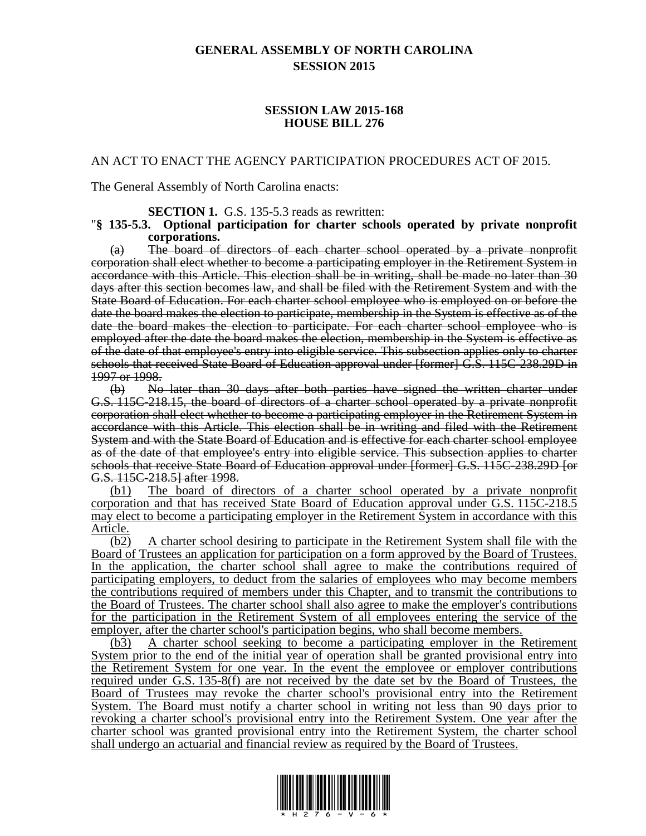## **GENERAL ASSEMBLY OF NORTH CAROLINA SESSION 2015**

#### **SESSION LAW 2015-168 HOUSE BILL 276**

#### AN ACT TO ENACT THE AGENCY PARTICIPATION PROCEDURES ACT OF 2015.

The General Assembly of North Carolina enacts:

**SECTION 1.** G.S. 135-5.3 reads as rewritten:

#### "**§ 135-5.3. Optional participation for charter schools operated by private nonprofit corporations.**

(a) The board of directors of each charter school operated by a private nonprofit corporation shall elect whether to become a participating employer in the Retirement System in accordance with this Article. This election shall be in writing, shall be made no later than 30 days after this section becomes law, and shall be filed with the Retirement System and with the State Board of Education. For each charter school employee who is employed on or before the date the board makes the election to participate, membership in the System is effective as of the date the board makes the election to participate. For each charter school employee who is employed after the date the board makes the election, membership in the System is effective as of the date of that employee's entry into eligible service. This subsection applies only to charter schools that received State Board of Education approval under [former] G.S. 115C-238.29D in 1997 or 1998.

(b) No later than 30 days after both parties have signed the written charter under G.S. 115C-218.15, the board of directors of a charter school operated by a private nonprofit corporation shall elect whether to become a participating employer in the Retirement System in accordance with this Article. This election shall be in writing and filed with the Retirement System and with the State Board of Education and is effective for each charter school employee as of the date of that employee's entry into eligible service. This subsection applies to charter schools that receive State Board of Education approval under [former] G.S. 115C-238.29D [or G.S. 115C-218.5] after 1998.

(b1) The board of directors of a charter school operated by a private nonprofit corporation and that has received State Board of Education approval under G.S. 115C-218.5 may elect to become a participating employer in the Retirement System in accordance with this Article.

(b2) A charter school desiring to participate in the Retirement System shall file with the Board of Trustees an application for participation on a form approved by the Board of Trustees. In the application, the charter school shall agree to make the contributions required of participating employers, to deduct from the salaries of employees who may become members the contributions required of members under this Chapter, and to transmit the contributions to the Board of Trustees. The charter school shall also agree to make the employer's contributions for the participation in the Retirement System of all employees entering the service of the employer, after the charter school's participation begins, who shall become members.

(b3) A charter school seeking to become a participating employer in the Retirement System prior to the end of the initial year of operation shall be granted provisional entry into the Retirement System for one year. In the event the employee or employer contributions required under G.S. 135-8(f) are not received by the date set by the Board of Trustees, the Board of Trustees may revoke the charter school's provisional entry into the Retirement System. The Board must notify a charter school in writing not less than 90 days prior to revoking a charter school's provisional entry into the Retirement System. One year after the charter school was granted provisional entry into the Retirement System, the charter school shall undergo an actuarial and financial review as required by the Board of Trustees.

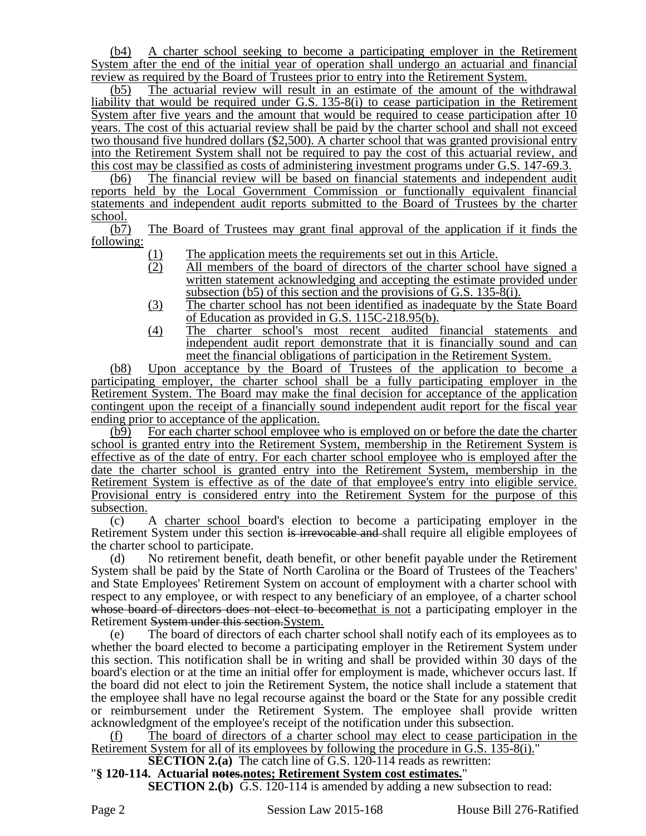(b4) A charter school seeking to become a participating employer in the Retirement System after the end of the initial year of operation shall undergo an actuarial and financial review as required by the Board of Trustees prior to entry into the Retirement System.

(b5) The actuarial review will result in an estimate of the amount of the withdrawal liability that would be required under G.S. 135-8(i) to cease participation in the Retirement System after five years and the amount that would be required to cease participation after 10 years. The cost of this actuarial review shall be paid by the charter school and shall not exceed two thousand five hundred dollars (\$2,500). A charter school that was granted provisional entry into the Retirement System shall not be required to pay the cost of this actuarial review, and this cost may be classified as costs of administering investment programs under G.S. 147-69.3.

(b6) The financial review will be based on financial statements and independent audit reports held by the Local Government Commission or functionally equivalent financial statements and independent audit reports submitted to the Board of Trustees by the charter

 $\frac{\text{school.}}{\text{(b7)}}$ The Board of Trustees may grant final approval of the application if it finds the following:

- 
- (1) The application meets the requirements set out in this Article.<br>(2) All members of the board of directors of the charter school All members of the board of directors of the charter school have signed a written statement acknowledging and accepting the estimate provided under subsection (b5) of this section and the provisions of G.S. 135-8(i).
- (3) The charter school has not been identified as inadequate by the State Board of Education as provided in G.S. 115C-218.95(b).
- (4) The charter school's most recent audited financial statements and independent audit report demonstrate that it is financially sound and can meet the financial obligations of participation in the Retirement System.

(b8) Upon acceptance by the Board of Trustees of the application to become a participating employer, the charter school shall be a fully participating employer in the Retirement System. The Board may make the final decision for acceptance of the application contingent upon the receipt of a financially sound independent audit report for the fiscal year ending prior to acceptance of the application.

(b9) For each charter school employee who is employed on or before the date the charter school is granted entry into the Retirement System, membership in the Retirement System is effective as of the date of entry. For each charter school employee who is employed after the date the charter school is granted entry into the Retirement System, membership in the Retirement System is effective as of the date of that employee's entry into eligible service. Provisional entry is considered entry into the Retirement System for the purpose of this subsection.

(c) A charter school board's election to become a participating employer in the Retirement System under this section is irrevocable and shall require all eligible employees of the charter school to participate.

(d) No retirement benefit, death benefit, or other benefit payable under the Retirement System shall be paid by the State of North Carolina or the Board of Trustees of the Teachers' and State Employees' Retirement System on account of employment with a charter school with respect to any employee, or with respect to any beneficiary of an employee, of a charter school whose board of directors does not elect to become that is not a participating employer in the Retirement System under this section.System.

(e) The board of directors of each charter school shall notify each of its employees as to whether the board elected to become a participating employer in the Retirement System under this section. This notification shall be in writing and shall be provided within 30 days of the board's election or at the time an initial offer for employment is made, whichever occurs last. If the board did not elect to join the Retirement System, the notice shall include a statement that the employee shall have no legal recourse against the board or the State for any possible credit or reimbursement under the Retirement System. The employee shall provide written acknowledgment of the employee's receipt of the notification under this subsection.

(f) The board of directors of a charter school may elect to cease participation in the Retirement System for all of its employees by following the procedure in G.S. 135-8(i)."

# **SECTION 2.(a)** The catch line of G.S. 120-114 reads as rewritten:

## "**§ 120-114. Actuarial notes.notes; Retirement System cost estimates.**"

**SECTION 2.(b)** G.S. 120-114 is amended by adding a new subsection to read: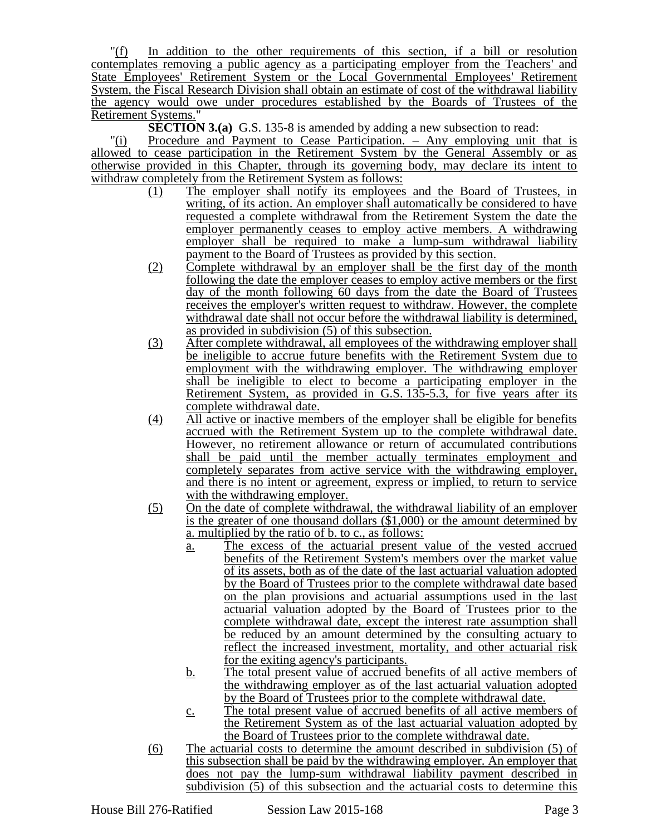"(f) In addition to the other requirements of this section, if a bill or resolution contemplates removing a public agency as a participating employer from the Teachers' and State Employees' Retirement System or the Local Governmental Employees' Retirement System, the Fiscal Research Division shall obtain an estimate of cost of the withdrawal liability the agency would owe under procedures established by the Boards of Trustees of the Retirement Systems."

**SECTION 3.(a)** G.S. 135-8 is amended by adding a new subsection to read:

"(i) Procedure and Payment to Cease Participation. – Any employing unit that is allowed to cease participation in the Retirement System by the General Assembly or as otherwise provided in this Chapter, through its governing body, may declare its intent to withdraw completely from the Retirement System as follows:<br>(1) The employer shall notify its employees

- The employer shall notify its employees and the Board of Trustees, in writing, of its action. An employer shall automatically be considered to have requested a complete withdrawal from the Retirement System the date the employer permanently ceases to employ active members. A withdrawing employer shall be required to make a lump-sum withdrawal liability payment to the Board of Trustees as provided by this section.
- (2) Complete withdrawal by an employer shall be the first day of the month following the date the employer ceases to employ active members or the first day of the month following 60 days from the date the Board of Trustees receives the employer's written request to withdraw. However, the complete withdrawal date shall not occur before the withdrawal liability is determined, as provided in subdivision (5) of this subsection.
- (3) After complete withdrawal, all employees of the withdrawing employer shall be ineligible to accrue future benefits with the Retirement System due to employment with the withdrawing employer. The withdrawing employer shall be ineligible to elect to become a participating employer in the Retirement System, as provided in G.S. 135-5.3, for five years after its complete withdrawal date.
- (4) All active or inactive members of the employer shall be eligible for benefits accrued with the Retirement System up to the complete withdrawal date. However, no retirement allowance or return of accumulated contributions shall be paid until the member actually terminates employment and completely separates from active service with the withdrawing employer, and there is no intent or agreement, express or implied, to return to service with the withdrawing employer.
- (5) On the date of complete withdrawal, the withdrawal liability of an employer is the greater of one thousand dollars (\$1,000) or the amount determined by a. multiplied by the ratio of b. to c., as follows:
	- a. The excess of the actuarial present value of the vested accrued benefits of the Retirement System's members over the market value of its assets, both as of the date of the last actuarial valuation adopted by the Board of Trustees prior to the complete withdrawal date based on the plan provisions and actuarial assumptions used in the last actuarial valuation adopted by the Board of Trustees prior to the complete withdrawal date, except the interest rate assumption shall be reduced by an amount determined by the consulting actuary to reflect the increased investment, mortality, and other actuarial risk for the exiting agency's participants.
	- b. The total present value of accrued benefits of all active members of the withdrawing employer as of the last actuarial valuation adopted by the Board of Trustees prior to the complete withdrawal date.
	- c. The total present value of accrued benefits of all active members of the Retirement System as of the last actuarial valuation adopted by the Board of Trustees prior to the complete withdrawal date.
- (6) The actuarial costs to determine the amount described in subdivision (5) of this subsection shall be paid by the withdrawing employer. An employer that does not pay the lump-sum withdrawal liability payment described in subdivision (5) of this subsection and the actuarial costs to determine this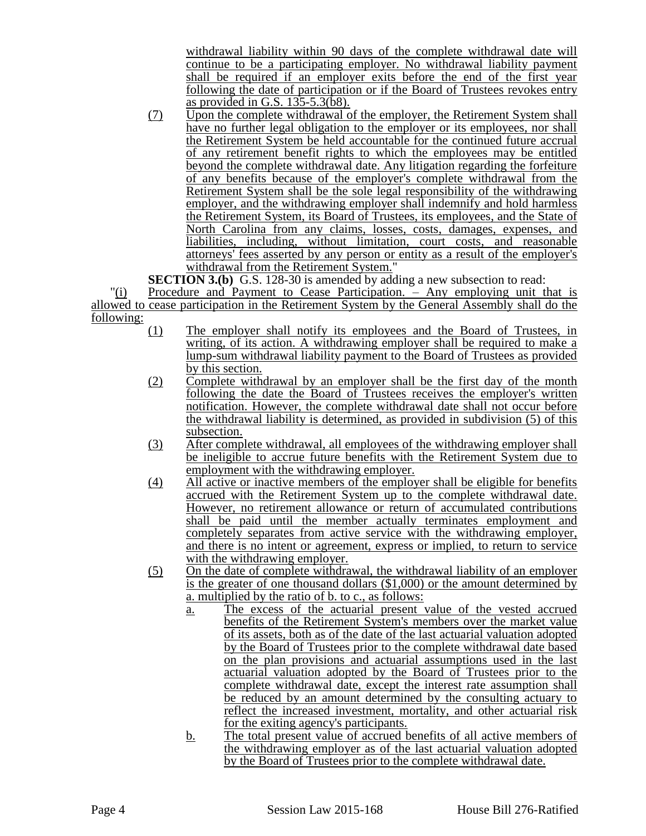withdrawal liability within 90 days of the complete withdrawal date will continue to be a participating employer. No withdrawal liability payment shall be required if an employer exits before the end of the first year following the date of participation or if the Board of Trustees revokes entry as provided in G.S. 135-5.3(b8).

(7) Upon the complete withdrawal of the employer, the Retirement System shall have no further legal obligation to the employer or its employees, nor shall the Retirement System be held accountable for the continued future accrual of any retirement benefit rights to which the employees may be entitled beyond the complete withdrawal date. Any litigation regarding the forfeiture of any benefits because of the employer's complete withdrawal from the Retirement System shall be the sole legal responsibility of the withdrawing employer, and the withdrawing employer shall indemnify and hold harmless the Retirement System, its Board of Trustees, its employees, and the State of North Carolina from any claims, losses, costs, damages, expenses, and liabilities, including, without limitation, court costs, and reasonable attorneys' fees asserted by any person or entity as a result of the employer's withdrawal from the Retirement System."

**SECTION 3.(b)** G.S. 128-30 is amended by adding a new subsection to read:

"(i) Procedure and Payment to Cease Participation. – Any employing unit that is allowed to cease participation in the Retirement System by the General Assembly shall do the following:

- (1) The employer shall notify its employees and the Board of Trustees, in writing, of its action. A withdrawing employer shall be required to make a lump-sum withdrawal liability payment to the Board of Trustees as provided by this section.
- (2) Complete withdrawal by an employer shall be the first day of the month following the date the Board of Trustees receives the employer's written notification. However, the complete withdrawal date shall not occur before the withdrawal liability is determined, as provided in subdivision (5) of this subsection.
- (3) After complete withdrawal, all employees of the withdrawing employer shall be ineligible to accrue future benefits with the Retirement System due to employment with the withdrawing employer.
- (4) All active or inactive members of the employer shall be eligible for benefits accrued with the Retirement System up to the complete withdrawal date. However, no retirement allowance or return of accumulated contributions shall be paid until the member actually terminates employment and completely separates from active service with the withdrawing employer, and there is no intent or agreement, express or implied, to return to service with the withdrawing employer.
- (5) On the date of complete withdrawal, the withdrawal liability of an employer is the greater of one thousand dollars (\$1,000) or the amount determined by a. multiplied by the ratio of b. to c., as follows:
	- a. The excess of the actuarial present value of the vested accrued benefits of the Retirement System's members over the market value of its assets, both as of the date of the last actuarial valuation adopted by the Board of Trustees prior to the complete withdrawal date based on the plan provisions and actuarial assumptions used in the last actuarial valuation adopted by the Board of Trustees prior to the complete withdrawal date, except the interest rate assumption shall be reduced by an amount determined by the consulting actuary to reflect the increased investment, mortality, and other actuarial risk for the exiting agency's participants.
	- b. The total present value of accrued benefits of all active members of the withdrawing employer as of the last actuarial valuation adopted by the Board of Trustees prior to the complete withdrawal date.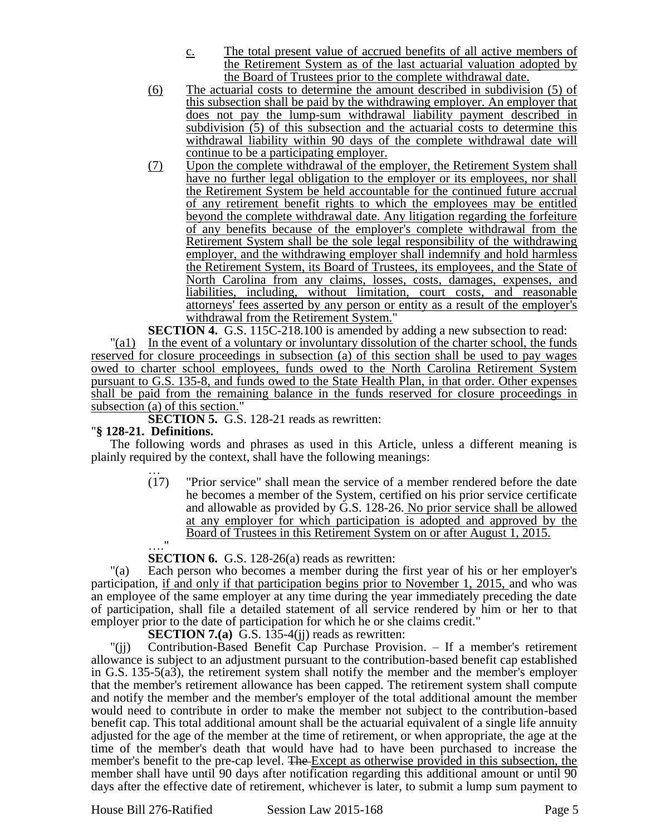- c. The total present value of accrued benefits of all active members of the Retirement System as of the last actuarial valuation adopted by the Board of Trustees prior to the complete withdrawal date.
- (6) The actuarial costs to determine the amount described in subdivision (5) of this subsection shall be paid by the withdrawing employer. An employer that does not pay the lump-sum withdrawal liability payment described in subdivision (5) of this subsection and the actuarial costs to determine this withdrawal liability within 90 days of the complete withdrawal date will continue to be a participating employer.
- (7) Upon the complete withdrawal of the employer, the Retirement System shall have no further legal obligation to the employer or its employees, nor shall the Retirement System be held accountable for the continued future accrual of any retirement benefit rights to which the employees may be entitled beyond the complete withdrawal date. Any litigation regarding the forfeiture of any benefits because of the employer's complete withdrawal from the Retirement System shall be the sole legal responsibility of the withdrawing employer, and the withdrawing employer shall indemnify and hold harmless the Retirement System, its Board of Trustees, its employees, and the State of North Carolina from any claims, losses, costs, damages, expenses, and liabilities, including, without limitation, court costs, and reasonable attorneys' fees asserted by any person or entity as a result of the employer's withdrawal from the Retirement System."

**SECTION 4.** G.S. 115C-218.100 is amended by adding a new subsection to read:

"(a1) In the event of a voluntary or involuntary dissolution of the charter school, the funds reserved for closure proceedings in subsection (a) of this section shall be used to pay wages owed to charter school employees, funds owed to the North Carolina Retirement System pursuant to G.S. 135-8, and funds owed to the State Health Plan, in that order. Other expenses shall be paid from the remaining balance in the funds reserved for closure proceedings in subsection (a) of this section."

**SECTION 5.** G.S. 128-21 reads as rewritten:

### "**§ 128-21. Definitions.**

The following words and phrases as used in this Article, unless a different meaning is plainly required by the context, shall have the following meanings:

… (17) "Prior service" shall mean the service of a member rendered before the date he becomes a member of the System, certified on his prior service certificate and allowable as provided by G.S. 128-26. No prior service shall be allowed at any employer for which participation is adopted and approved by the Board of Trustees in this Retirement System on or after August 1, 2015.  $^{\bullet}$ 

**SECTION 6.** G.S. 128-26(a) reads as rewritten:

"(a) Each person who becomes a member during the first year of his or her employer's participation, if and only if that participation begins prior to November 1, 2015, and who was an employee of the same employer at any time during the year immediately preceding the date of participation, shall file a detailed statement of all service rendered by him or her to that employer prior to the date of participation for which he or she claims credit."

**SECTION 7.(a)** G.S. 135-4(jj) reads as rewritten:

"(jj) Contribution-Based Benefit Cap Purchase Provision. – If a member's retirement allowance is subject to an adjustment pursuant to the contribution-based benefit cap established in G.S. 135-5(a3), the retirement system shall notify the member and the member's employer that the member's retirement allowance has been capped. The retirement system shall compute and notify the member and the member's employer of the total additional amount the member would need to contribute in order to make the member not subject to the contribution-based benefit cap. This total additional amount shall be the actuarial equivalent of a single life annuity adjusted for the age of the member at the time of retirement, or when appropriate, the age at the time of the member's death that would have had to have been purchased to increase the member's benefit to the pre-cap level. The Except as otherwise provided in this subsection, the member shall have until 90 days after notification regarding this additional amount or until 90 days after the effective date of retirement, whichever is later, to submit a lump sum payment to